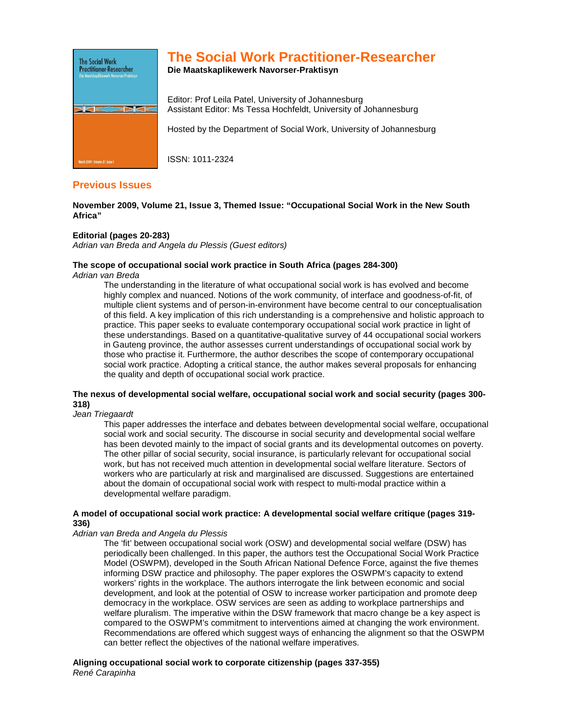

# **The Social Work Practitioner-Researcher**

**Die Maatskaplikewerk Navorser-Praktisyn** 

Editor: Prof Leila Patel, University of Johannesburg Assistant Editor: Ms Tessa Hochfeldt, University of Johannesburg

Hosted by the Department of Social Work, University of Johannesburg

ISSN: 1011-2324

## **Previous Issues**

**November 2009, Volume 21, Issue 3, Themed Issue: "Occupational Social Work in the New South Africa"** 

### **Editorial (pages 20-283)**

Adrian van Breda and Angela du Plessis (Guest editors)

## **The scope of occupational social work practice in South Africa (pages 284-300)**

Adrian van Breda

The understanding in the literature of what occupational social work is has evolved and become highly complex and nuanced. Notions of the work community, of interface and goodness-of-fit, of multiple client systems and of person-in-environment have become central to our conceptualisation of this field. A key implication of this rich understanding is a comprehensive and holistic approach to practice. This paper seeks to evaluate contemporary occupational social work practice in light of these understandings. Based on a quantitative-qualitative survey of 44 occupational social workers in Gauteng province, the author assesses current understandings of occupational social work by those who practise it. Furthermore, the author describes the scope of contemporary occupational social work practice. Adopting a critical stance, the author makes several proposals for enhancing the quality and depth of occupational social work practice.

## **The nexus of developmental social welfare, occupational social work and social security (pages 300- 318)**

#### Jean Triegaardt

This paper addresses the interface and debates between developmental social welfare, occupational social work and social security. The discourse in social security and developmental social welfare has been devoted mainly to the impact of social grants and its developmental outcomes on poverty. The other pillar of social security, social insurance, is particularly relevant for occupational social work, but has not received much attention in developmental social welfare literature. Sectors of workers who are particularly at risk and marginalised are discussed. Suggestions are entertained about the domain of occupational social work with respect to multi-modal practice within a developmental welfare paradigm.

#### **A model of occupational social work practice: A developmental social welfare critique (pages 319- 336)**

#### Adrian van Breda and Angela du Plessis

The 'fit' between occupational social work (OSW) and developmental social welfare (DSW) has periodically been challenged. In this paper, the authors test the Occupational Social Work Practice Model (OSWPM), developed in the South African National Defence Force, against the five themes informing DSW practice and philosophy. The paper explores the OSWPM's capacity to extend workers' rights in the workplace. The authors interrogate the link between economic and social development, and look at the potential of OSW to increase worker participation and promote deep democracy in the workplace. OSW services are seen as adding to workplace partnerships and welfare pluralism. The imperative within the DSW framework that macro change be a key aspect is compared to the OSWPM's commitment to interventions aimed at changing the work environment. Recommendations are offered which suggest ways of enhancing the alignment so that the OSWPM can better reflect the objectives of the national welfare imperatives.

**Aligning occupational social work to corporate citizenship (pages 337-355)**  René Carapinha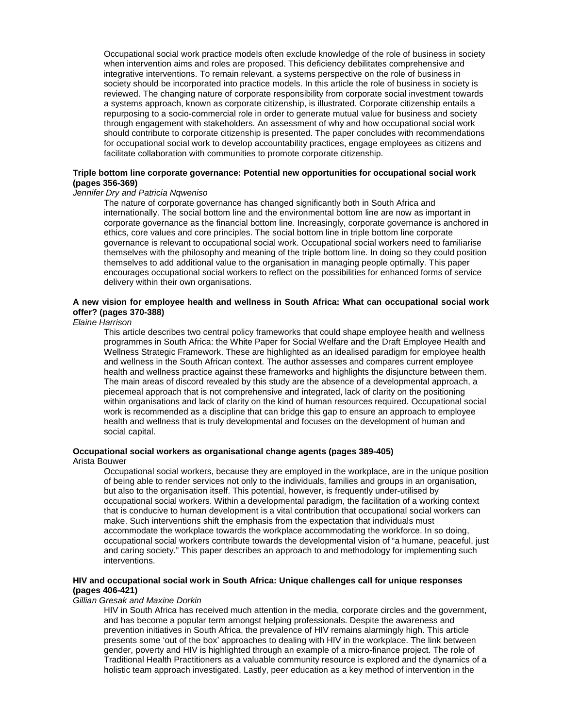Occupational social work practice models often exclude knowledge of the role of business in society when intervention aims and roles are proposed. This deficiency debilitates comprehensive and integrative interventions. To remain relevant, a systems perspective on the role of business in society should be incorporated into practice models. In this article the role of business in society is reviewed. The changing nature of corporate responsibility from corporate social investment towards a systems approach, known as corporate citizenship, is illustrated. Corporate citizenship entails a repurposing to a socio-commercial role in order to generate mutual value for business and society through engagement with stakeholders. An assessment of why and how occupational social work should contribute to corporate citizenship is presented. The paper concludes with recommendations for occupational social work to develop accountability practices, engage employees as citizens and facilitate collaboration with communities to promote corporate citizenship.

#### **Triple bottom line corporate governance: Potential new opportunities for occupational social work (pages 356-369)**

## Jennifer Dry and Patricia Nqweniso

The nature of corporate governance has changed significantly both in South Africa and internationally. The social bottom line and the environmental bottom line are now as important in corporate governance as the financial bottom line. Increasingly, corporate governance is anchored in ethics, core values and core principles. The social bottom line in triple bottom line corporate governance is relevant to occupational social work. Occupational social workers need to familiarise themselves with the philosophy and meaning of the triple bottom line. In doing so they could position themselves to add additional value to the organisation in managing people optimally. This paper encourages occupational social workers to reflect on the possibilities for enhanced forms of service delivery within their own organisations.

#### **A new vision for employee health and wellness in South Africa: What can occupational social work offer? (pages 370-388)**

#### Elaine Harrison

This article describes two central policy frameworks that could shape employee health and wellness programmes in South Africa: the White Paper for Social Welfare and the Draft Employee Health and Wellness Strategic Framework. These are highlighted as an idealised paradigm for employee health and wellness in the South African context. The author assesses and compares current employee health and wellness practice against these frameworks and highlights the disjuncture between them. The main areas of discord revealed by this study are the absence of a developmental approach, a piecemeal approach that is not comprehensive and integrated, lack of clarity on the positioning within organisations and lack of clarity on the kind of human resources required. Occupational social work is recommended as a discipline that can bridge this gap to ensure an approach to employee health and wellness that is truly developmental and focuses on the development of human and social capital.

## **Occupational social workers as organisational change agents (pages 389-405)**

#### Arista Bouwer

Occupational social workers, because they are employed in the workplace, are in the unique position of being able to render services not only to the individuals, families and groups in an organisation, but also to the organisation itself. This potential, however, is frequently under-utilised by occupational social workers. Within a developmental paradigm, the facilitation of a working context that is conducive to human development is a vital contribution that occupational social workers can make. Such interventions shift the emphasis from the expectation that individuals must accommodate the workplace towards the workplace accommodating the workforce. In so doing, occupational social workers contribute towards the developmental vision of "a humane, peaceful, just and caring society." This paper describes an approach to and methodology for implementing such interventions.

#### **HIV and occupational social work in South Africa: Unique challenges call for unique responses (pages 406-421)**

#### Gillian Gresak and Maxine Dorkin

HIV in South Africa has received much attention in the media, corporate circles and the government, and has become a popular term amongst helping professionals. Despite the awareness and prevention initiatives in South Africa, the prevalence of HIV remains alarmingly high. This article presents some 'out of the box' approaches to dealing with HIV in the workplace. The link between gender, poverty and HIV is highlighted through an example of a micro-finance project. The role of Traditional Health Practitioners as a valuable community resource is explored and the dynamics of a holistic team approach investigated. Lastly, peer education as a key method of intervention in the